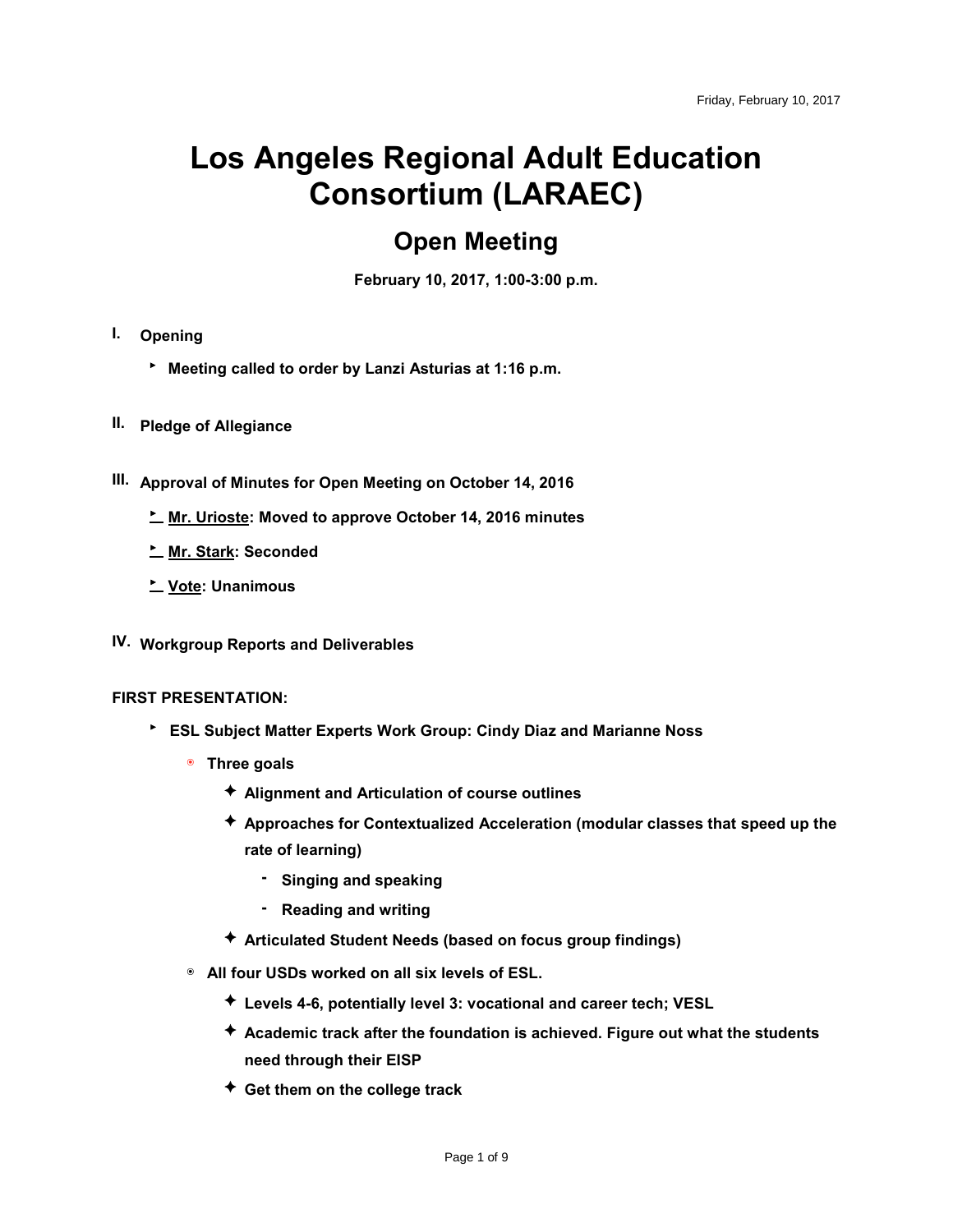# **Los Angeles Regional Adult Education Consortium (LARAEC)**

## **Open Meeting**

**February 10, 2017, 1:00-3:00 p.m.** 

- **I. Opening**
	- ‣ **Meeting called to order by Lanzi Asturias at 1:16 p.m.**
- **II. Pledge of Allegiance**
- **III. Approval of Minutes for Open Meeting on October 14, 2016**
	- ‣ **Mr. Urioste: Moved to approve October 14, 2016 minutes**
	- ‣ **Mr. Stark: Seconded**
	- ‣ **Vote: Unanimous**
- **IV. Workgroup Reports and Deliverables**

#### **FIRST PRESENTATION:**

- ‣ **ESL Subject Matter Experts Work Group: Cindy Diaz and Marianne Noss**
	- ๏ **Three goals**
		- ✦ **Alignment and Articulation of course outlines**
		- ✦ **Approaches for Contextualized Acceleration (modular classes that speed up the rate of learning)**
			- **- Singing and speaking**
			- **- Reading and writing**
		- ✦ **Articulated Student Needs (based on focus group findings)**
	- ๏ **All four USDs worked on all six levels of ESL.**
		- ✦ **Levels 4-6, potentially level 3: vocational and career tech; VESL**
		- ✦ **Academic track after the foundation is achieved. Figure out what the students need through their EISP**
		- ✦ **Get them on the college track**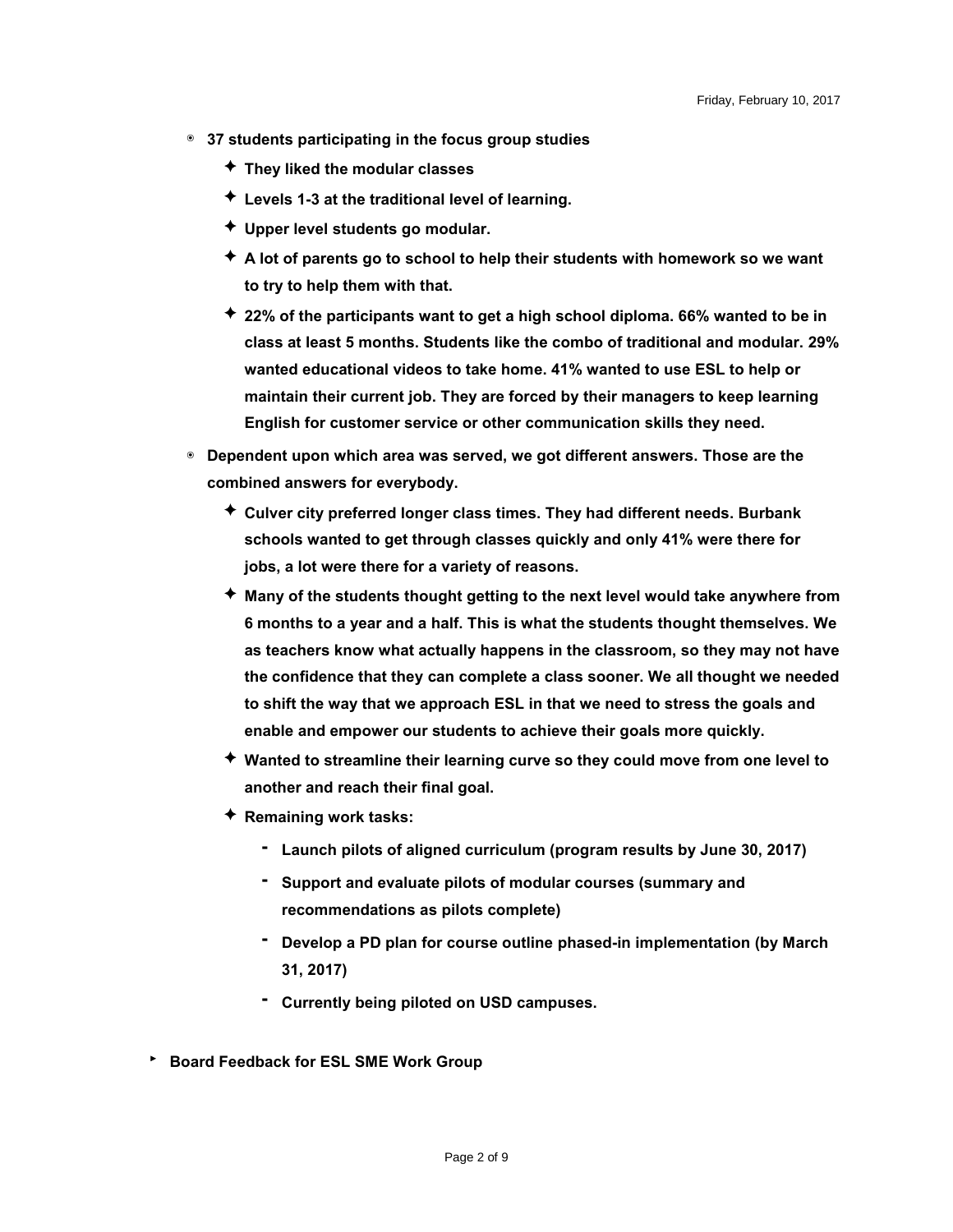- ๏ **37 students participating in the focus group studies**
	- ✦ **They liked the modular classes**
	- ✦ **Levels 1-3 at the traditional level of learning.**
	- ✦ **Upper level students go modular.**
	- ✦ **A lot of parents go to school to help their students with homework so we want to try to help them with that.**
	- ✦ **22% of the participants want to get a high school diploma. 66% wanted to be in class at least 5 months. Students like the combo of traditional and modular. 29% wanted educational videos to take home. 41% wanted to use ESL to help or maintain their current job. They are forced by their managers to keep learning English for customer service or other communication skills they need.**
- ๏ **Dependent upon which area was served, we got different answers. Those are the combined answers for everybody.**
	- ✦ **Culver city preferred longer class times. They had different needs. Burbank schools wanted to get through classes quickly and only 41% were there for jobs, a lot were there for a variety of reasons.**
	- ✦ **Many of the students thought getting to the next level would take anywhere from 6 months to a year and a half. This is what the students thought themselves. We as teachers know what actually happens in the classroom, so they may not have the confidence that they can complete a class sooner. We all thought we needed to shift the way that we approach ESL in that we need to stress the goals and enable and empower our students to achieve their goals more quickly.**
	- ✦ **Wanted to streamline their learning curve so they could move from one level to another and reach their final goal.**
	- ✦ **Remaining work tasks:**
		- **- Launch pilots of aligned curriculum (program results by June 30, 2017)**
		- **- Support and evaluate pilots of modular courses (summary and recommendations as pilots complete)**
		- **- Develop a PD plan for course outline phased-in implementation (by March 31, 2017)**
		- **- Currently being piloted on USD campuses.**
- ‣ **Board Feedback for ESL SME Work Group**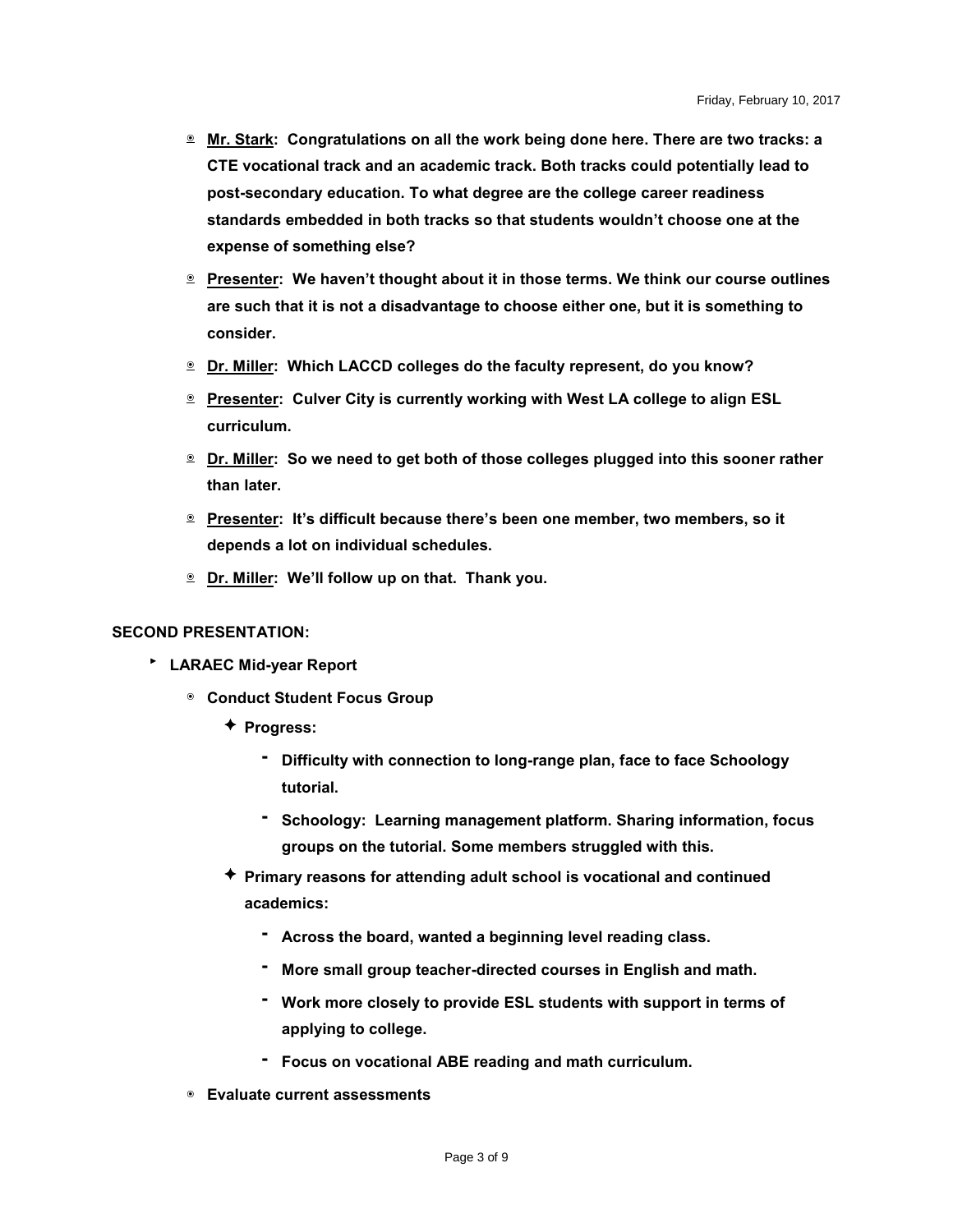- ๏ **Mr. Stark: Congratulations on all the work being done here. There are two tracks: a CTE vocational track and an academic track. Both tracks could potentially lead to post-secondary education. To what degree are the college career readiness standards embedded in both tracks so that students wouldn't choose one at the expense of something else?**
- ๏ **Presenter: We haven't thought about it in those terms. We think our course outlines are such that it is not a disadvantage to choose either one, but it is something to consider.**
- ๏ **Dr. Miller: Which LACCD colleges do the faculty represent, do you know?**
- ๏ **Presenter: Culver City is currently working with West LA college to align ESL curriculum.**
- ๏ **Dr. Miller: So we need to get both of those colleges plugged into this sooner rather than later.**
- ๏ **Presenter: It's difficult because there's been one member, two members, so it depends a lot on individual schedules.**
- ๏ **Dr. Miller: We'll follow up on that. Thank you.**

#### **SECOND PRESENTATION:**

- ‣ **LARAEC Mid-year Report**
	- ๏ **Conduct Student Focus Group**
		- ✦ **Progress:**
			- **- Difficulty with connection to long-range plan, face to face Schoology tutorial.**
			- **- Schoology: Learning management platform. Sharing information, focus groups on the tutorial. Some members struggled with this.**
		- ✦ **Primary reasons for attending adult school is vocational and continued academics:**
			- **- Across the board, wanted a beginning level reading class.**
			- **- More small group teacher-directed courses in English and math.**
			- **- Work more closely to provide ESL students with support in terms of applying to college.**
			- **- Focus on vocational ABE reading and math curriculum.**
	- ๏ **Evaluate current assessments**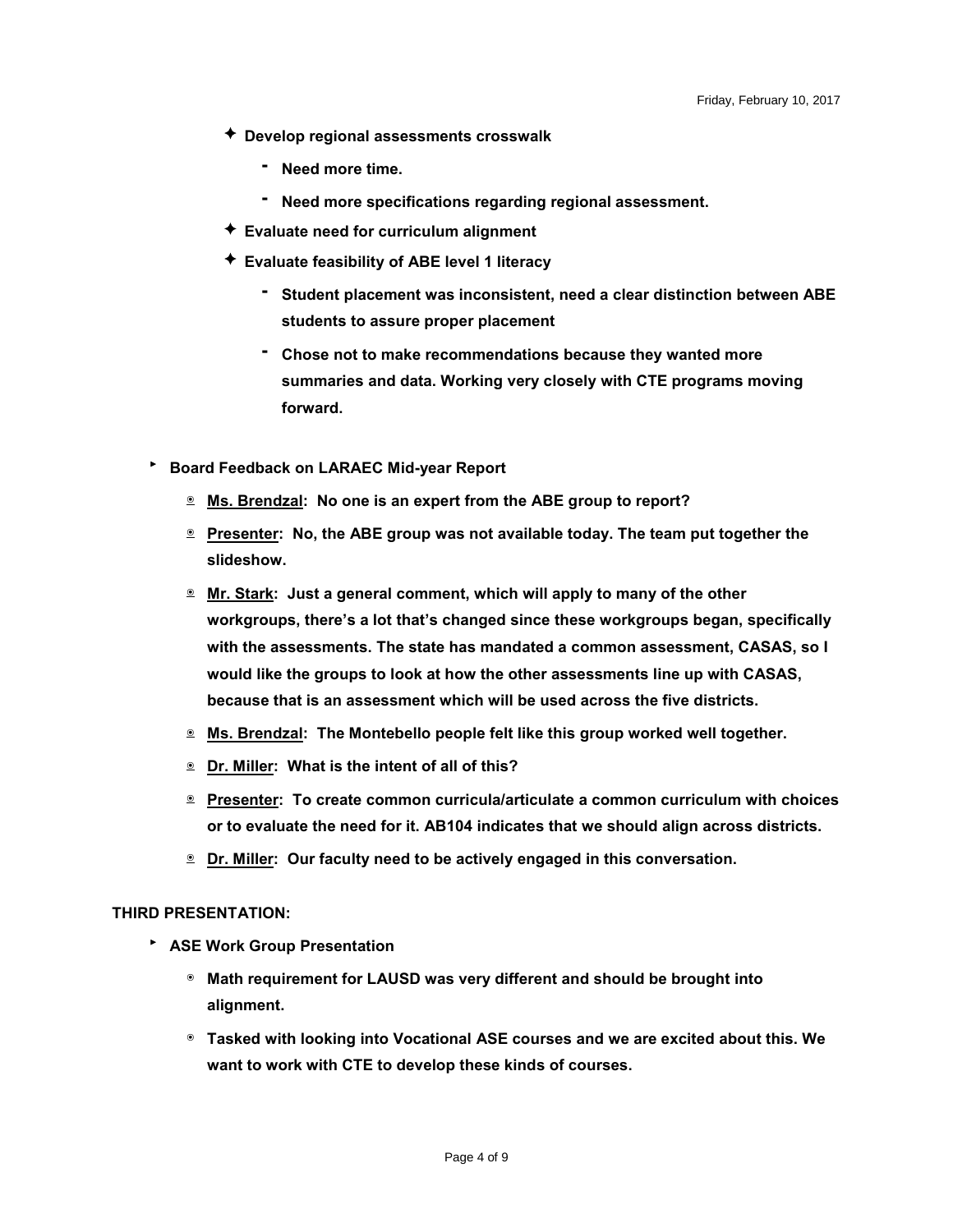- ✦ **Develop regional assessments crosswalk**
	- **- Need more time.**
	- **- Need more specifications regarding regional assessment.**
- ✦ **Evaluate need for curriculum alignment**
- ✦ **Evaluate feasibility of ABE level 1 literacy**
	- **- Student placement was inconsistent, need a clear distinction between ABE students to assure proper placement**
	- **- Chose not to make recommendations because they wanted more summaries and data. Working very closely with CTE programs moving forward.**
- ‣ **Board Feedback on LARAEC Mid-year Report**
	- ๏ **Ms. Brendzal: No one is an expert from the ABE group to report?**
	- ๏ **Presenter: No, the ABE group was not available today. The team put together the slideshow.**
	- ๏ **Mr. Stark: Just a general comment, which will apply to many of the other workgroups, there's a lot that's changed since these workgroups began, specifically with the assessments. The state has mandated a common assessment, CASAS, so I would like the groups to look at how the other assessments line up with CASAS, because that is an assessment which will be used across the five districts.**
	- ๏ **Ms. Brendzal: The Montebello people felt like this group worked well together.**
	- ๏ **Dr. Miller: What is the intent of all of this?**
	- ๏ **Presenter: To create common curricula/articulate a common curriculum with choices or to evaluate the need for it. AB104 indicates that we should align across districts.**
	- ๏ **Dr. Miller: Our faculty need to be actively engaged in this conversation.**

#### **THIRD PRESENTATION:**

- ‣ **ASE Work Group Presentation**
	- ๏ **Math requirement for LAUSD was very different and should be brought into alignment.**
	- ๏ **Tasked with looking into Vocational ASE courses and we are excited about this. We want to work with CTE to develop these kinds of courses.**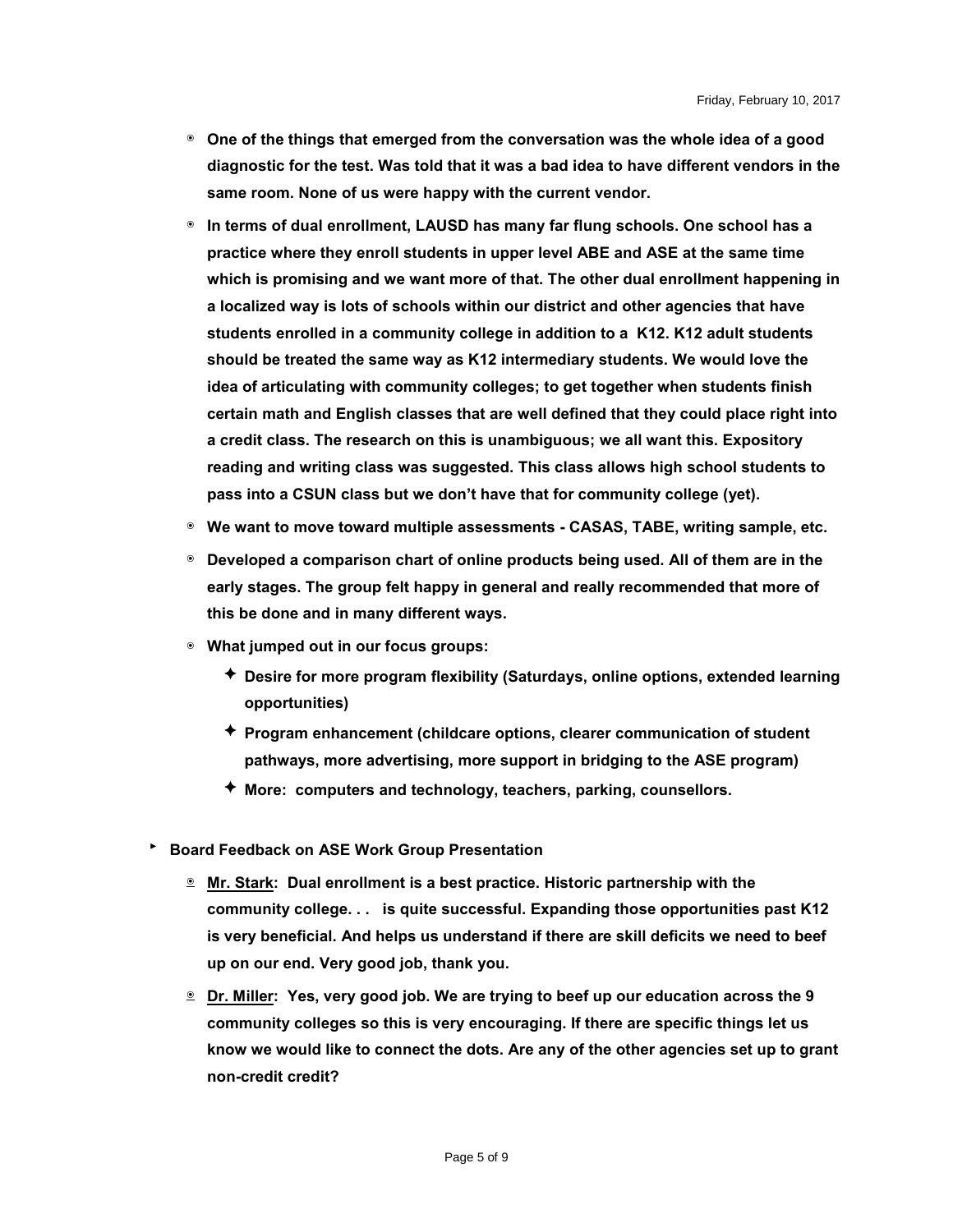- ๏ **One of the things that emerged from the conversation was the whole idea of a good diagnostic for the test. Was told that it was a bad idea to have different vendors in the same room. None of us were happy with the current vendor.**
- ๏ **In terms of dual enrollment, LAUSD has many far flung schools. One school has a practice where they enroll students in upper level ABE and ASE at the same time which is promising and we want more of that. The other dual enrollment happening in a localized way is lots of schools within our district and other agencies that have students enrolled in a community college in addition to a K12. K12 adult students should be treated the same way as K12 intermediary students. We would love the idea of articulating with community colleges; to get together when students finish certain math and English classes that are well defined that they could place right into a credit class. The research on this is unambiguous; we all want this. Expository reading and writing class was suggested. This class allows high school students to pass into a CSUN class but we don't have that for community college (yet).**
- ๏ **We want to move toward multiple assessments - CASAS, TABE, writing sample, etc.**
- ๏ **Developed a comparison chart of online products being used. All of them are in the early stages. The group felt happy in general and really recommended that more of this be done and in many different ways.**
- ๏ **What jumped out in our focus groups:**
	- ✦ **Desire for more program flexibility (Saturdays, online options, extended learning opportunities)**
	- ✦ **Program enhancement (childcare options, clearer communication of student pathways, more advertising, more support in bridging to the ASE program)**
	- ✦ **More: computers and technology, teachers, parking, counsellors.**
- ‣ **Board Feedback on ASE Work Group Presentation**
	- ๏ **Mr. Stark: Dual enrollment is a best practice. Historic partnership with the community college. . . is quite successful. Expanding those opportunities past K12 is very beneficial. And helps us understand if there are skill deficits we need to beef up on our end. Very good job, thank you.**
	- ๏ **Dr. Miller: Yes, very good job. We are trying to beef up our education across the 9 community colleges so this is very encouraging. If there are specific things let us know we would like to connect the dots. Are any of the other agencies set up to grant non-credit credit?**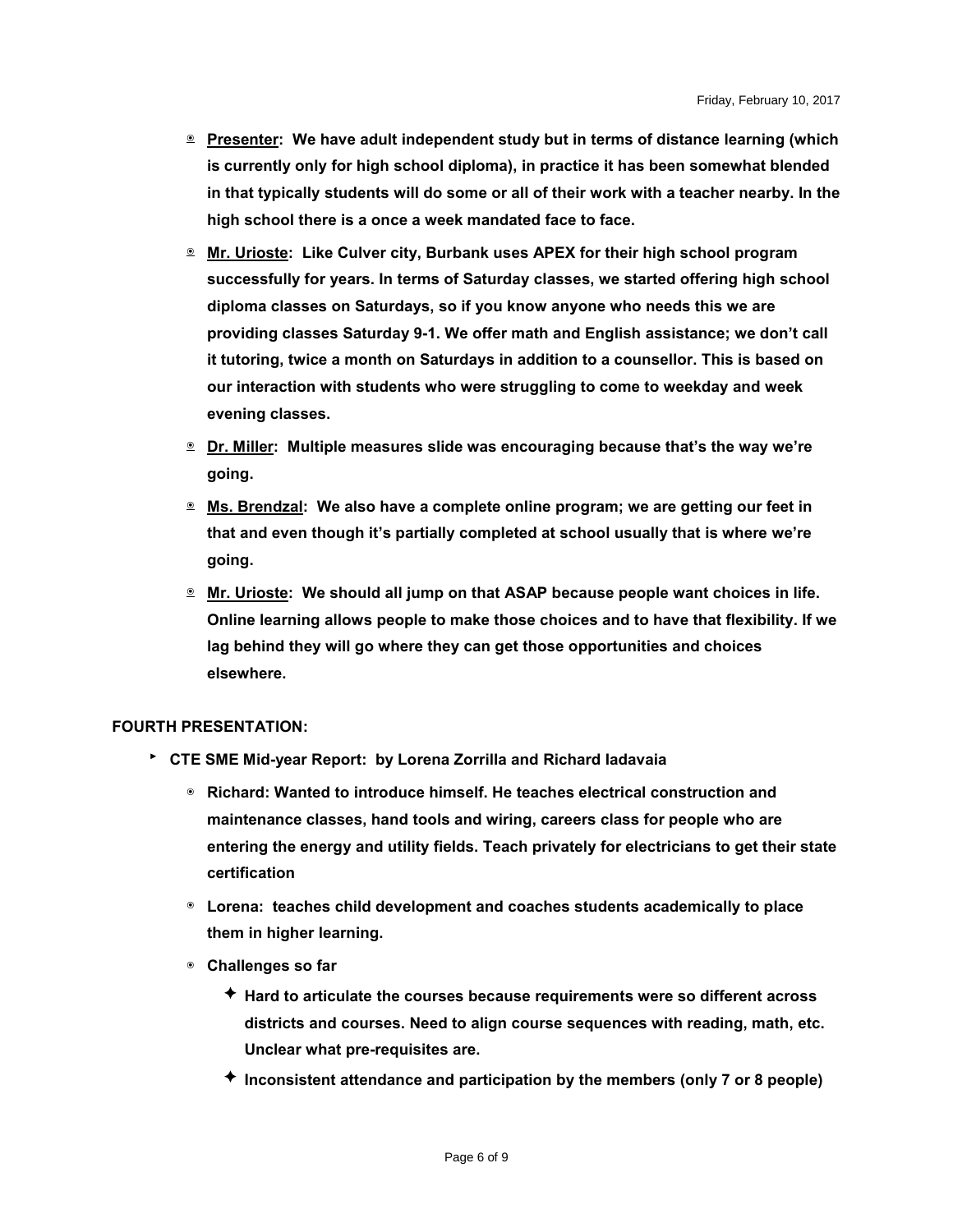- ๏ **Presenter: We have adult independent study but in terms of distance learning (which is currently only for high school diploma), in practice it has been somewhat blended in that typically students will do some or all of their work with a teacher nearby. In the high school there is a once a week mandated face to face.**
- ๏ **Mr. Urioste: Like Culver city, Burbank uses APEX for their high school program successfully for years. In terms of Saturday classes, we started offering high school diploma classes on Saturdays, so if you know anyone who needs this we are providing classes Saturday 9-1. We offer math and English assistance; we don't call it tutoring, twice a month on Saturdays in addition to a counsellor. This is based on our interaction with students who were struggling to come to weekday and week evening classes.**
- ๏ **Dr. Miller: Multiple measures slide was encouraging because that's the way we're going.**
- ๏ **Ms. Brendzal: We also have a complete online program; we are getting our feet in that and even though it's partially completed at school usually that is where we're going.**
- ๏ **Mr. Urioste: We should all jump on that ASAP because people want choices in life. Online learning allows people to make those choices and to have that flexibility. If we lag behind they will go where they can get those opportunities and choices elsewhere.**

#### **FOURTH PRESENTATION:**

- ‣ **CTE SME Mid-year Report: by Lorena Zorrilla and Richard Iadavaia**
	- ๏ **Richard: Wanted to introduce himself. He teaches electrical construction and maintenance classes, hand tools and wiring, careers class for people who are entering the energy and utility fields. Teach privately for electricians to get their state certification**
	- ๏ **Lorena: teaches child development and coaches students academically to place them in higher learning.**
	- ๏ **Challenges so far**
		- ✦ **Hard to articulate the courses because requirements were so different across districts and courses. Need to align course sequences with reading, math, etc. Unclear what pre-requisites are.**
		- ✦ **Inconsistent attendance and participation by the members (only 7 or 8 people)**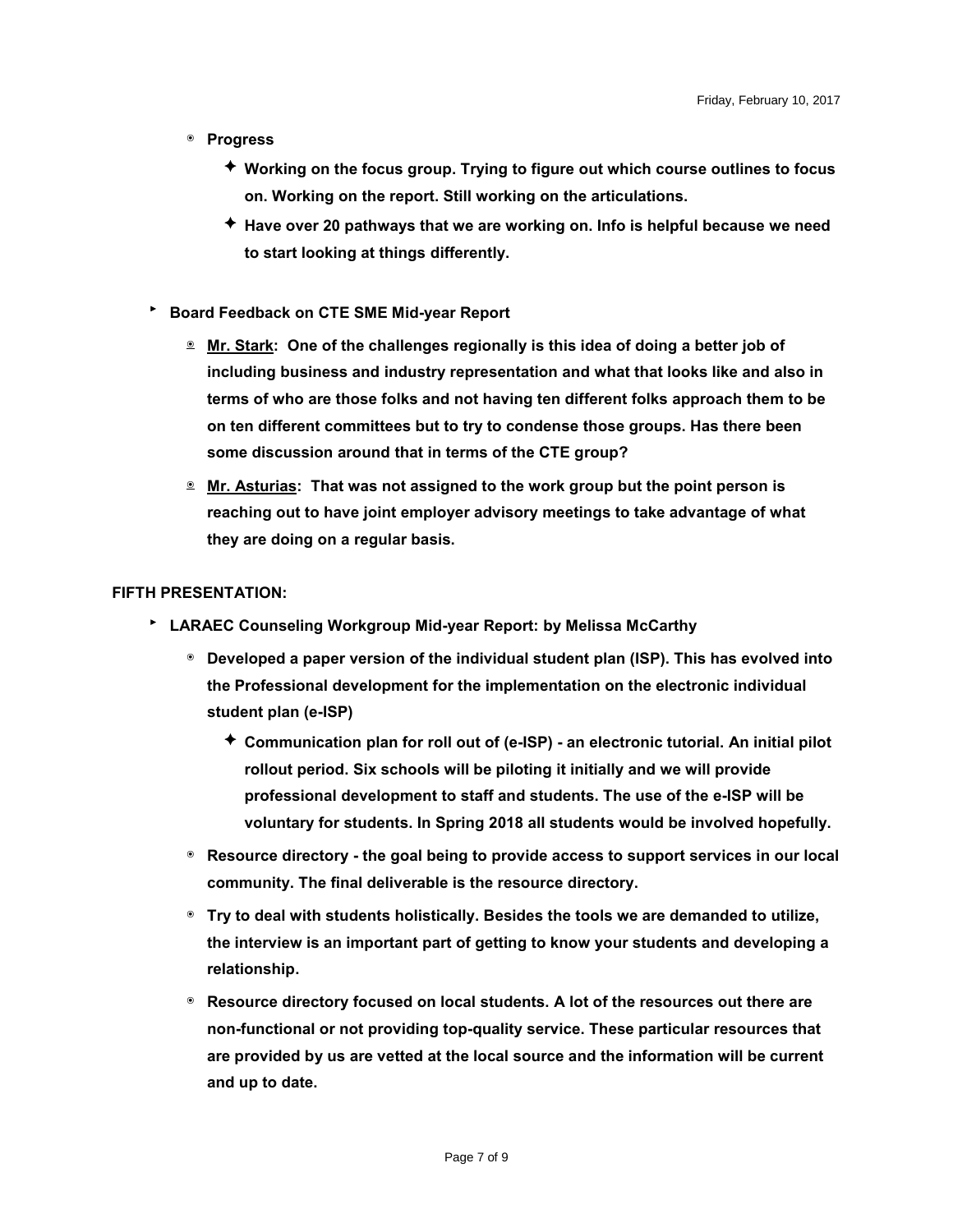- ๏ **Progress**
	- ✦ **Working on the focus group. Trying to figure out which course outlines to focus on. Working on the report. Still working on the articulations.**
	- ✦ **Have over 20 pathways that we are working on. Info is helpful because we need to start looking at things differently.**
- ‣ **Board Feedback on CTE SME Mid-year Report**
	- ๏ **Mr. Stark: One of the challenges regionally is this idea of doing a better job of including business and industry representation and what that looks like and also in terms of who are those folks and not having ten different folks approach them to be on ten different committees but to try to condense those groups. Has there been some discussion around that in terms of the CTE group?**
	- ๏ **Mr. Asturias: That was not assigned to the work group but the point person is reaching out to have joint employer advisory meetings to take advantage of what they are doing on a regular basis.**

#### **FIFTH PRESENTATION:**

- ‣ **LARAEC Counseling Workgroup Mid-year Report: by Melissa McCarthy**
	- ๏ **Developed a paper version of the individual student plan (ISP). This has evolved into the Professional development for the implementation on the electronic individual student plan (e-ISP)**
		- ✦ **Communication plan for roll out of (e-ISP) - an electronic tutorial. An initial pilot rollout period. Six schools will be piloting it initially and we will provide professional development to staff and students. The use of the e-ISP will be voluntary for students. In Spring 2018 all students would be involved hopefully.**
	- ๏ **Resource directory - the goal being to provide access to support services in our local community. The final deliverable is the resource directory.**
	- ๏ **Try to deal with students holistically. Besides the tools we are demanded to utilize, the interview is an important part of getting to know your students and developing a relationship.**
	- ๏ **Resource directory focused on local students. A lot of the resources out there are non-functional or not providing top-quality service. These particular resources that are provided by us are vetted at the local source and the information will be current and up to date.**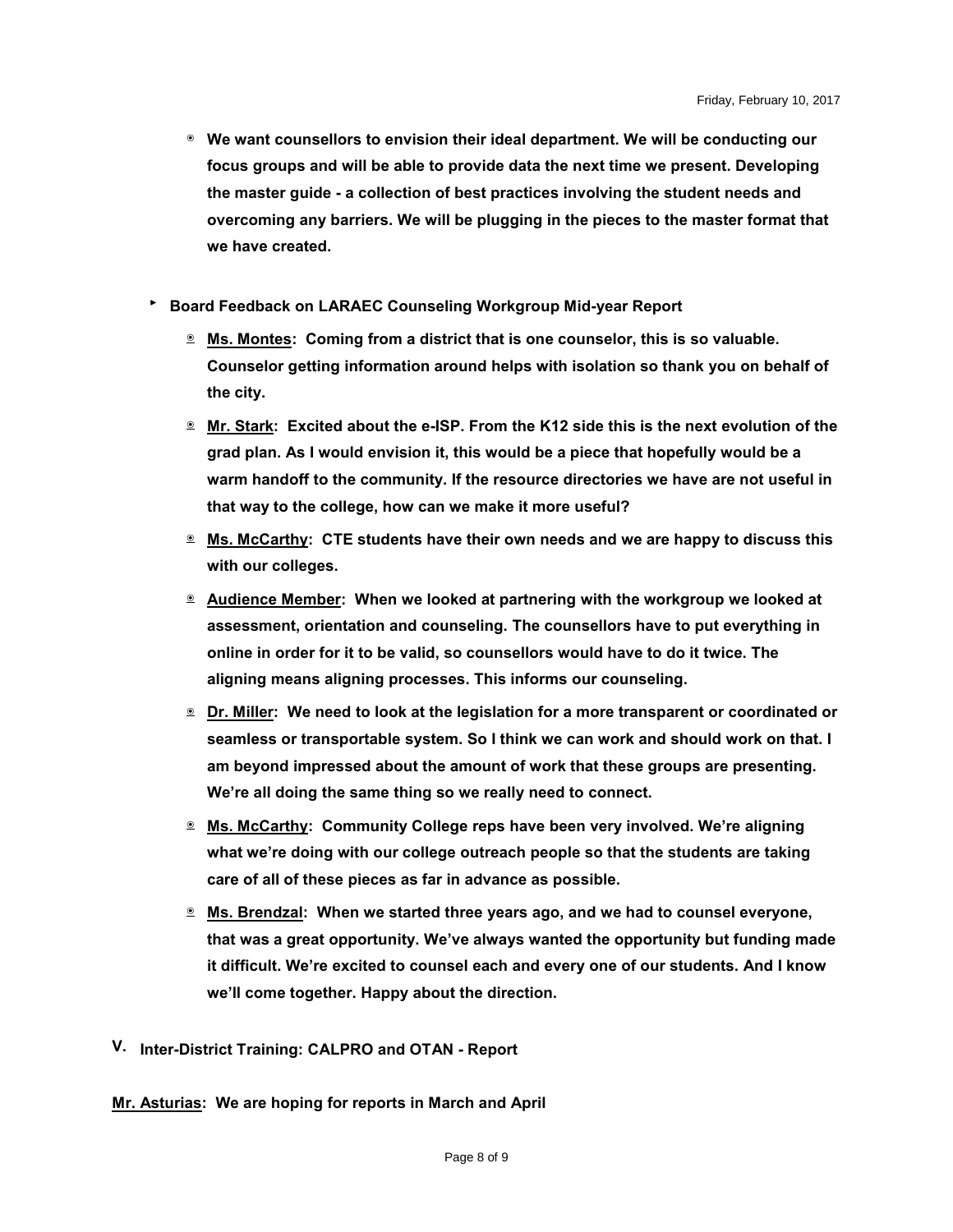- ๏ **We want counsellors to envision their ideal department. We will be conducting our focus groups and will be able to provide data the next time we present. Developing the master guide - a collection of best practices involving the student needs and overcoming any barriers. We will be plugging in the pieces to the master format that we have created.**
- ‣ **Board Feedback on LARAEC Counseling Workgroup Mid-year Report**
	- ๏ **Ms. Montes: Coming from a district that is one counselor, this is so valuable. Counselor getting information around helps with isolation so thank you on behalf of the city.**
	- ๏ **Mr. Stark: Excited about the e-ISP. From the K12 side this is the next evolution of the grad plan. As I would envision it, this would be a piece that hopefully would be a warm handoff to the community. If the resource directories we have are not useful in that way to the college, how can we make it more useful?**
	- ๏ **Ms. McCarthy: CTE students have their own needs and we are happy to discuss this with our colleges.**
	- ๏ **Audience Member: When we looked at partnering with the workgroup we looked at assessment, orientation and counseling. The counsellors have to put everything in online in order for it to be valid, so counsellors would have to do it twice. The aligning means aligning processes. This informs our counseling.**
	- ๏ **Dr. Miller: We need to look at the legislation for a more transparent or coordinated or seamless or transportable system. So I think we can work and should work on that. I am beyond impressed about the amount of work that these groups are presenting. We're all doing the same thing so we really need to connect.**
	- ๏ **Ms. McCarthy: Community College reps have been very involved. We're aligning what we're doing with our college outreach people so that the students are taking care of all of these pieces as far in advance as possible.**
	- ๏ **Ms. Brendzal: When we started three years ago, and we had to counsel everyone, that was a great opportunity. We've always wanted the opportunity but funding made it difficult. We're excited to counsel each and every one of our students. And I know we'll come together. Happy about the direction.**
- **V. Inter-District Training: CALPRO and OTAN - Report**

**Mr. Asturias: We are hoping for reports in March and April**